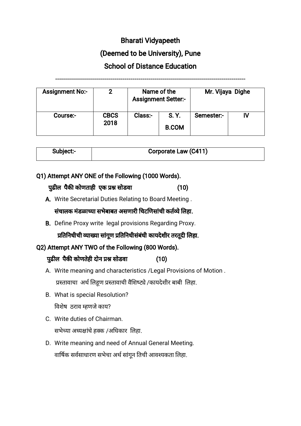# Bharati Vidyapeeth

## (Deemed to be University), Pune

### School of Distance Education

------------------------------------------------------------------------------------------------

Assignment No:- 2 Name of the Assignment Setter:- Mr. Vijaya Dighe Course:- CBCS 2018  $Class: \Box$  S. Y. B.COM Semester:- IV

| Subject:- | <b>Corporate Law (C411)</b> |
|-----------|-----------------------------|
|           |                             |

### Q1) Attempt ANY ONE of the Following (1000 Words).

#### पढुल पकै कोणताही एक सोडवा (10)

A. Write Secretarial Duties Relating to Board Meeting .

### संचालक मंडळाच्या सभेबाबत असणारी चिटणिसांची कर्तव्ये लिहा.

B. Define Proxy write legal provisions Regarding Proxy.

प्रतिनिधीची व्याख्या सांगूण प्रतिनिधीसंबंधी कायदेशीर तरतूदी लिहा.

## Q2) Attempt ANY TWO of the Following (800 Words).

## पुढील पैकी कोणतेही दोन प्रश्न सोडवा (10)

- A. Write meaning and characteristics /Legal Provisions of Motion . प्रस्तावाचा अर्थ लिहूण प्रस्तावाची वैशिष्ट्ये /कायदेशीर बाबी लिहा.
- B. What is special Resolution? विशेष ठराव म्हणजे काय?
- C. Write duties of Chairman. सभेच्या अध्यक्षांचे हक्क /अधिकार लिहा.
- D. Write meaning and need of Annual General Meeting. वार्षिक सर्वसाधारण सभेचा अर्थ सांगून तिची आवश्यकता लिहा.